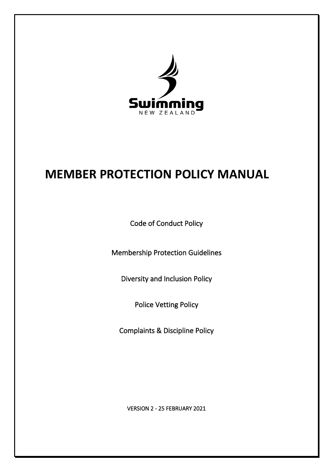

# **MEMBER PROTECTION POLICY MANUAL**

Code of Conduct Policy

Membership Protection Guidelines

Diversity and Inclusion Policy

Police Vetting Policy

Complaints & Discipline Policy

VERSION 2 - 25 FEBRUARY 2021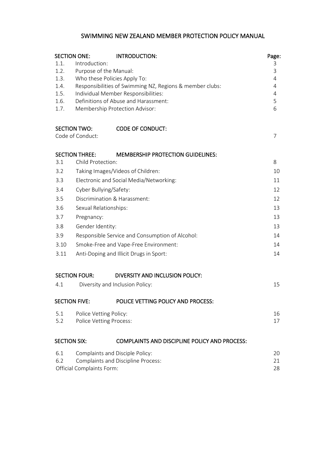# SWIMMING NEW ZEALAND MEMBER PROTECTION POLICY MANUAL

|                                                  | <b>SECTION ONE:</b>                                      | INTRODUCTION:                                        | Page:<br>З |  |  |  |
|--------------------------------------------------|----------------------------------------------------------|------------------------------------------------------|------------|--|--|--|
| 1.1.<br>1.2.                                     | Introduction:<br>Purpose of the Manual:                  |                                                      |            |  |  |  |
| 1.3.                                             | Who these Policies Apply To:                             |                                                      |            |  |  |  |
| 1.4.                                             | Responsibilities of Swimming NZ, Regions & member clubs: |                                                      |            |  |  |  |
| 1.5.                                             | Individual Member Responsibilities:                      |                                                      |            |  |  |  |
| 1.6.                                             | Definitions of Abuse and Harassment:                     |                                                      |            |  |  |  |
| 1.7.                                             |                                                          | Membership Protection Advisor:                       | 6          |  |  |  |
|                                                  | <b>SECTION TWO:</b>                                      | <b>CODE OF CONDUCT:</b>                              |            |  |  |  |
|                                                  | Code of Conduct:                                         |                                                      | 7          |  |  |  |
|                                                  | <b>SECTION THREE:</b>                                    | <b>MEMBERSHIP PROTECTION GUIDELINES:</b>             | 8          |  |  |  |
| 3.1                                              | Child Protection:                                        |                                                      |            |  |  |  |
| 3.2                                              | Taking Images/Videos of Children:                        |                                                      |            |  |  |  |
| 3.3                                              | Electronic and Social Media/Networking:                  |                                                      |            |  |  |  |
| 3.4                                              | Cyber Bullying/Safety:                                   |                                                      |            |  |  |  |
| 3.5                                              | Discrimination & Harassment:                             |                                                      |            |  |  |  |
| 3.6                                              | Sexual Relationships:                                    |                                                      |            |  |  |  |
| 3.7                                              | Pregnancy:                                               |                                                      |            |  |  |  |
| 3.8                                              | Gender Identity:                                         |                                                      |            |  |  |  |
| 3.9                                              | Responsible Service and Consumption of Alcohol:          |                                                      |            |  |  |  |
| 3.10                                             | Smoke-Free and Vape-Free Environment:                    |                                                      |            |  |  |  |
| 3.11                                             | Anti-Doping and Illicit Drugs in Sport:                  |                                                      |            |  |  |  |
|                                                  | <b>SECTION FOUR:</b>                                     | DIVERSITY AND INCLUSION POLICY:                      |            |  |  |  |
| 4.1                                              |                                                          | Diversity and Inclusion Policy:                      | 15         |  |  |  |
| <b>SECTION FIVE:</b>                             |                                                          | POLICE VETTING POLICY AND PROCESS:                   |            |  |  |  |
| 5.1                                              | Police Vetting Policy:                                   |                                                      | 16         |  |  |  |
| 5.2                                              | <b>Police Vetting Process:</b>                           |                                                      |            |  |  |  |
| <b>SECTION SIX:</b>                              |                                                          | <b>COMPLAINTS AND DISCIPLINE POLICY AND PROCESS:</b> |            |  |  |  |
| 6.1                                              |                                                          | Complaints and Disciple Policy:                      |            |  |  |  |
| <b>Complaints and Discipline Process:</b><br>6.2 |                                                          |                                                      |            |  |  |  |
|                                                  | Official Complaints Form:                                |                                                      |            |  |  |  |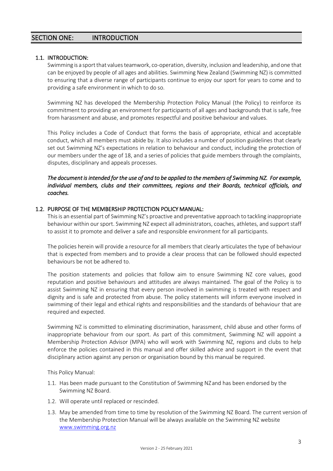# 1.1. INTRODUCTION:

Swimming is a sport that values teamwork, co-operation, diversity, inclusion and leadership, and one that can be enjoyed by people of all ages and abilities. Swimming New Zealand (Swimming NZ) is committed to ensuring that a diverse range of participants continue to enjoy our sport for years to come and to providing a safe environment in which to do so.

Swimming NZ has developed the Membership Protection Policy Manual (the Policy) to reinforce its commitment to providing an environment for participants of all ages and backgrounds that is safe, free from harassment and abuse, and promotes respectful and positive behaviour and values.

This Policy includes a Code of Conduct that forms the basis of appropriate, ethical and acceptable conduct, which all members must abide by. It also includes a number of position guidelines that clearly set out Swimming NZ's expectations in relation to behaviour and conduct, including the protection of our members under the age of 18, and a series of policies that guide members through the complaints, disputes, disciplinary and appeals processes.

# *The document is intended for the use of and to be applied to the members of Swimming NZ. For example, individual members, clubs and their committees, regions and their Boards, technical officials, and coaches.*

#### 1.2. PURPOSE OF THE MEMBERSHIP PROTECTION POLICY MANUAL:

This is an essential part of Swimming NZ's proactive and preventative approach to tackling inappropriate behaviour within our sport. Swimming NZ expect all administrators, coaches, athletes, and support staff to assist it to promote and deliver a safe and responsible environment for all participants.

The policies herein will provide a resource for all members that clearly articulates the type of behaviour that is expected from members and to provide a clear process that can be followed should expected behaviours be not be adhered to.

The position statements and policies that follow aim to ensure Swimming NZ core values, good reputation and positive behaviours and attitudes are always maintained. The goal of the Policy is to assist Swimming NZ in ensuring that every person involved in swimming is treated with respect and dignity and is safe and protected from abuse. The policy statements will inform everyone involved in swimming of their legal and ethical rights and responsibilities and the standards of behaviour that are required and expected.

Swimming NZ is committed to eliminating discrimination, harassment, child abuse and other forms of inappropriate behaviour from our sport. As part of this commitment, Swimming NZ will appoint a Membership Protection Advisor (MPA) who will work with Swimming NZ, regions and clubs to help enforce the policies contained in this manual and offer skilled advice and support in the event that disciplinary action against any person or organisation bound by this manual be required.

This Policy Manual:

- 1.1. Has been made pursuant to the Constitution of Swimming NZand has been endorsed by the Swimming NZ Board.
- 1.2. Will operate until replaced or rescinded.
- 1.3. May be amended from time to time by resolution of the Swimming NZ Board. The current version of the Membership Protection Manual will be always available on the Swimming NZ website [www.swimming.org.nz](http://www.swimming.org.nz/)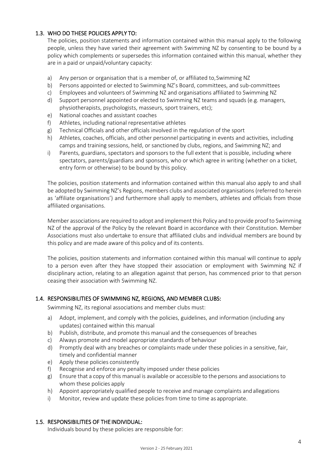# 1.3. WHO DO THESE POLICIES APPLY TO:

The policies, position statements and information contained within this manual apply to the following people, unless they have varied their agreement with Swimming NZ by consenting to be bound by a policy which complements or supersedes this information contained within this manual, whether they are in a paid or unpaid/voluntary capacity:

- a) Any person or organisation that is a member of, or affiliated to, Swimming NZ
- b) Persons appointed or elected to Swimming NZ's Board, committees, and sub-committees
- c) Employees and volunteers of Swimming NZ and organisations affiliated to Swimming NZ
- d) Support personnel appointed or elected to Swimming NZ teams and squads (e.g. managers, physiotherapists, psychologists, masseurs, sport trainers, etc);
- e) National coaches and assistant coaches
- f) Athletes, including national representative athletes
- g) Technical Officials and other officials involved in the regulation of the sport
- h) Athletes, coaches, officials, and other personnel participating in events and activities, including camps and training sessions, held, or sanctioned by clubs, regions, and Swimming NZ; and
- i) Parents, guardians, spectators and sponsors to the full extent that is possible, including where spectators, parents/guardians and sponsors, who or which agree in writing (whether on a ticket, entry form or otherwise) to be bound by this policy.

The policies, position statements and information contained within this manual also apply to and shall be adopted by Swimming NZ's Regions, members clubs and associated organisations (referred to herein as 'affiliate organisations') and furthermore shall apply to members, athletes and officials from those affiliated organisations.

Member associations are required to adopt and implement this Policy and to provide proof to Swimming NZ of the approval of the Policy by the relevant Board in accordance with their Constitution. Member Associations must also undertake to ensure that affiliated clubs and individual members are bound by this policy and are made aware of this policy and of its contents.

The policies, position statements and information contained within this manual will continue to apply to a person even after they have stopped their association or employment with Swimming NZ if disciplinary action, relating to an allegation against that person, has commenced prior to that person ceasing their association with Swimming NZ.

# 1.4. RESPONSIBILITIES OF SWIMMING NZ, REGIONS, AND MEMBER CLUBS:

Swimming NZ, its regional associations and member clubs must:

- a) Adopt, implement, and comply with the policies, guidelines, and information (including any updates) contained within this manual
- b) Publish, distribute, and promote this manual and the consequences of breaches
- c) Always promote and model appropriate standards of behaviour
- d) Promptly deal with any breaches or complaints made under these policies in a sensitive, fair, timely and confidential manner
- e) Apply these policies consistently
- f) Recognise and enforce any penalty imposed under these policies
- g) Ensure that a copy of this manual is available or accessible to the persons and associations to whom these policies apply
- h) Appoint appropriately qualified people to receive and manage complaints andallegations
- i) Monitor, review and update these policies from time to time as appropriate.

#### 1.5. RESPONSIBILITIES OF THE INDIVIDUAL:

Individuals bound by these policies are responsible for: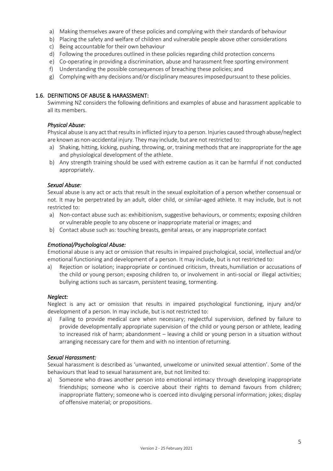- a) Making themselves aware of these policies and complying with their standards of behaviour
- b) Placing the safety and welfare of children and vulnerable people above other considerations
- c) Being accountable for their own behaviour
- d) Following the procedures outlined in these policies regarding child protection concerns
- e) Co-operating in providing a discrimination, abuse and harassment free sporting environment
- f) Understanding the possible consequences of breaching these policies; and
- g) Complyingwith any decisions and/or disciplinary measuresimposedpursuantto these policies.

### 1.6. DEFINITIONS OF ABUSE & HARASSMENT:

Swimming NZ considers the following definitions and examples of abuse and harassment applicable to all its members.

# *Physical Abuse:*

Physical abuse is any act that results in inflicted injury to a person. Injuries caused through abuse/neglect are known as non-accidental injury. They may include, but are not restricted to:

- a) Shaking, hitting, kicking, pushing, throwing, or, training methods that are inappropriate for the age and physiological development of the athlete.
- b) Any strength training should be used with extreme caution as it can be harmful if not conducted appropriately.

# *Sexual Abuse:*

Sexual abuse is any act or acts that result in the sexual exploitation of a person whether consensual or not. It may be perpetrated by an adult, older child, or similar-aged athlete. It may include, but is not restricted to:

- a) Non-contact abuse such as: exhibitionism, suggestive behaviours, or comments; exposing children or vulnerable people to any obscene or inappropriate material or images; and
- b) Contact abuse such as: touching breasts, genital areas, or any inappropriate contact

#### *Emotional/Psychological Abuse:*

Emotional abuse is any act or omission that results in impaired psychological, social, intellectual and/or emotional functioning and development of a person. It may include, but is not restricted to:

a) Rejection or isolation; inappropriate or continued criticism, threats,humiliation or accusations of the child or young person; exposing children to, or involvement in anti-social or illegal activities; bullying actions such as sarcasm, persistent teasing, tormenting.

#### *Neglect:*

Neglect is any act or omission that results in impaired psychological functioning, injury and/or development of a person. In may include, but is not restricted to:

a) Failing to provide medical care when necessary; neglectful supervision, defined by failure to provide developmentally appropriate supervision of the child or young person or athlete, leading to increased risk of harm; abandonment – leaving a child or young person in a situation without arranging necessary care for them and with no intention of returning.

#### *Sexual Harassment:*

Sexual harassment is described as 'unwanted, unwelcome or uninvited sexual attention'. Some of the behaviours that lead to sexual harassment are, but not limited to:

a) Someone who draws another person into emotional intimacy through developing inappropriate friendships; someone who is coercive about their rights to demand favours from children; inappropriate flattery; someonewho is coerced into divulging personal information; jokes; display of offensive material; or propositions.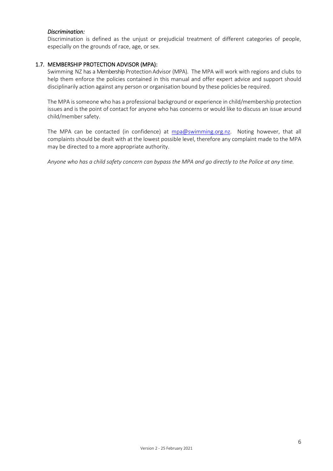#### *Discrimination:*

Discrimination is defined as the unjust or prejudicial treatment of different categories of people, especially on the grounds of race, age, or sex.

#### 1.7. MEMBERSHIP PROTECTION ADVISOR (MPA):

Swimming NZ has a Membership Protection Advisor (MPA). The MPA will work with regions and clubs to help them enforce the policies contained in this manual and offer expert advice and support should disciplinarily action against any person or organisation bound by these policies be required.

The MPA is someone who has a professional background or experience in child/membership protection issues and is the point of contact for anyone who has concerns or would like to discuss an issue around child/member safety.

The MPA can be contacted (in confidence) at [mpa@swimming.org.nz.](mailto:mpa@swimming.org.nz) Noting however, that all complaints should be dealt with at the lowest possible level, therefore any complaint made to the MPA may be directed to a more appropriate authority.

*Anyone who has a child safety concern can bypass the MPA and go directly to the Police at any time.*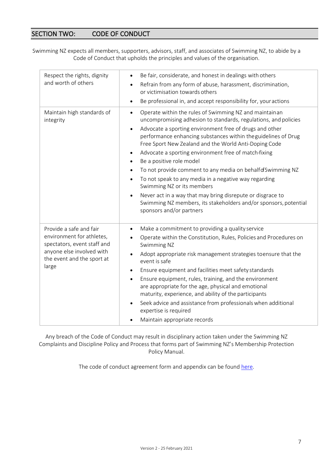# SECTION TWO: CODE OF CONDUCT

Swimming NZ expects all members, supporters, advisors, staff, and associates of Swimming NZ, to abide by a Code of Conduct that upholds the principles and values of the organisation.

| Respect the rights, dignity<br>and worth of others                                                                                                      | Be fair, considerate, and honest in dealings with others<br>$\bullet$<br>Refrain from any form of abuse, harassment, discrimination,<br>$\bullet$<br>or victimisation towards others<br>Be professional in, and accept responsibility for, your actions<br>$\bullet$                                                                                                                                                                                                                                                                                                                                                                                                                                                                                                                                  |
|---------------------------------------------------------------------------------------------------------------------------------------------------------|-------------------------------------------------------------------------------------------------------------------------------------------------------------------------------------------------------------------------------------------------------------------------------------------------------------------------------------------------------------------------------------------------------------------------------------------------------------------------------------------------------------------------------------------------------------------------------------------------------------------------------------------------------------------------------------------------------------------------------------------------------------------------------------------------------|
| Maintain high standards of<br>integrity                                                                                                                 | Operate within the rules of Swimming NZ and maintainan<br>$\bullet$<br>uncompromising adhesion to standards, regulations, and policies<br>Advocate a sporting environment free of drugs and other<br>$\bullet$<br>performance enhancing substances within theguidelines of Drug<br>Free Sport New Zealand and the World Anti-Doping Code<br>Advocate a sporting environment free of match-fixing<br>$\bullet$<br>Be a positive role model<br>$\bullet$<br>To not provide comment to any media on behalf of Swimming NZ<br>$\bullet$<br>To not speak to any media in a negative way regarding<br>$\bullet$<br>Swimming NZ or its members<br>Never act in a way that may bring disrepute or disgrace to<br>Swimming NZ members, its stakeholders and/or sponsors, potential<br>sponsors and/or partners |
| Provide a safe and fair<br>environment for athletes,<br>spectators, event staff and<br>anyone else involved with<br>the event and the sport at<br>large | Make a commitment to providing a quality service<br>$\bullet$<br>Operate within the Constitution, Rules, Policies and Procedures on<br>Swimming NZ<br>Adopt appropriate risk management strategies toensure that the<br>$\bullet$<br>event is safe<br>Ensure equipment and facilities meet safety standards<br>$\bullet$<br>Ensure equipment, rules, training, and the environment<br>$\bullet$<br>are appropriate for the age, physical and emotional<br>maturity, experience, and ability of the participants<br>Seek advice and assistance from professionals when additional<br>$\bullet$<br>expertise is required<br>Maintain appropriate records                                                                                                                                                |

Any breach of the Code of Conduct may result in disciplinary action taken under the Swimming NZ Complaints and Discipline Policy and Process that forms part of Swimming NZ's Membership Protection Policy Manual.

The code of conduct agreement form and appendix can be found [here.](https://swimming.org.nz/visageimages/High%20Performance/Development%20Programme/Swimming%20NZ%20Code%20of%20Conduct%20-%202020.pdf)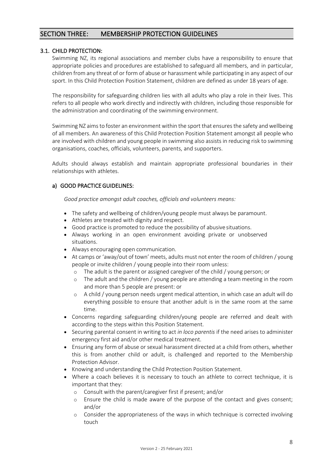# SECTION THREE: MEMBERSHIP PROTECTION GUIDELINES

# 3.1. CHILD PROTECTION:

Swimming NZ, its regional associations and member clubs have a responsibility to ensure that appropriate policies and procedures are established to safeguard all members, and in particular, children from any threat of or form of abuse or harassment while participating in any aspect of our sport. In this Child Protection Position Statement, children are defined as under 18 years of age.

The responsibility for safeguarding children lies with all adults who play a role in their lives. This refers to all people who work directly and indirectly with children, including those responsible for the administration and coordinating of the swimming environment.

Swimming NZ aims to foster an environment within the sport that ensures the safety and wellbeing of all members. An awareness of this Child Protection Position Statement amongst all people who are involved with children and young people in swimming also assists in reducing risk to swimming organisations, coaches, officials, volunteers, parents, and supporters.

Adults should always establish and maintain appropriate professional boundaries in their relationships with athletes.

# a) GOOD PRACTICE GUIDELINES:

*Good practice amongst adult coaches, officials and volunteers means:* 

- The safety and wellbeing of children/young people must always be paramount.
- Athletes are treated with dignity and respect.
- Good practice is promoted to reduce the possibility of abusive situations.
- Always working in an open environment avoiding private or unobserved situations.
- Always encouraging open communication.
- At camps or 'away/out of town' meets, adults must not enter the room of children / young people or invite children / young people into their room unless:
	- o The adult is the parent or assigned caregiver of the child / young person; or
	- o The adult and the children / young people are attending a team meeting in the room and more than 5 people are present: or
	- o A child / young person needs urgent medical attention, in which case an adult will do everything possible to ensure that another adult is in the same room at the same time.
- Concerns regarding safeguarding children/young people are referred and dealt with according to the steps within this Position Statement.
- Securing parental consent in writing to act *in loco parentis* if the need arises to administer emergency first aid and/or other medical treatment.
- Ensuring any form of abuse or sexual harassment directed at a child from others, whether this is from another child or adult, is challenged and reported to the Membership Protection Advisor.
- Knowing and understanding the Child Protection Position Statement.
- Where a coach believes it is necessary to touch an athlete to correct technique, it is important that they:
	- o Consult with the parent/caregiver first if present; and/or
	- o Ensure the child is made aware of the purpose of the contact and gives consent; and/or
	- o Consider the appropriateness of the ways in which technique is corrected involving touch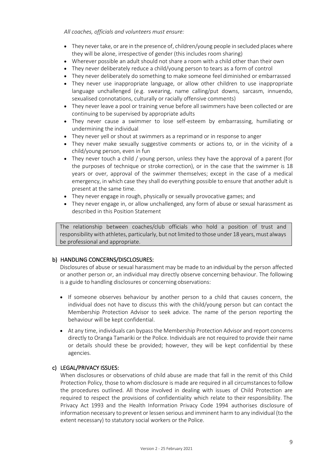*All coaches, officials and volunteers must ensure:* 

- They never take, or are in the presence of, children/young people in secluded places where they will be alone, irrespective of gender (this includes room sharing)
- Wherever possible an adult should not share a room with a child other than their own
- They never deliberately reduce a child/young person to tears as a form of control
- They never deliberately do something to make someone feel diminished or embarrassed
- They never use inappropriate language, or allow other children to use inappropriate language unchallenged (e.g. swearing, name calling/put downs, sarcasm, innuendo, sexualised connotations, culturally or racially offensive comments)
- They never leave a pool or training venue before all swimmers have been collected or are continuing to be supervised by appropriate adults
- They never cause a swimmer to lose self-esteem by embarrassing, humiliating or undermining the individual
- They never yell or shout at swimmers as a reprimand or in response to anger
- They never make sexually suggestive comments or actions to, or in the vicinity of a child/young person, even in fun
- They never touch a child / young person, unless they have the approval of a parent (for the purposes of technique or stroke correction), or in the case that the swimmer is 18 years or over, approval of the swimmer themselves; except in the case of a medical emergency, in which case they shall do everything possible to ensure that another adult is present at the same time.
- They never engage in rough, physically or sexually provocative games; and
- They never engage in, or allow unchallenged, any form of abuse or sexual harassment as described in this Position Statement

The relationship between coaches/club officials who hold a position of trust and responsibility with athletes, particularly, but not limited to those under 18 years, must always be professional and appropriate.

# b) HANDLING CONCERNS/DISCLOSURES:

Disclosures of abuse or sexual harassment may be made to an individual by the person affected or another person or, an individual may directly observe concerning behaviour. The following is a guide to handling disclosures or concerning observations:

- If someone observes behaviour by another person to a child that causes concern, the individual does not have to discuss this with the child/young person but can contact the Membership Protection Advisor to seek advice. The name of the person reporting the behaviour will be kept confidential.
- At any time, individuals can bypass the Membership Protection Advisor and report concerns directly to Oranga Tamariki or the Police. Individuals are not required to provide their name or details should these be provided; however, they will be kept confidential by these agencies.

# c) LEGAL/PRIVACY ISSUES:

When disclosures or observations of child abuse are made that fall in the remit of this Child Protection Policy, those to whom disclosure is made are required in all circumstancesto follow the procedures outlined. All those involved in dealing with issues of Child Protection are required to respect the provisions of confidentiality which relate to their responsibility. The Privacy Act 1993 and the Health Information Privacy Code 1994 authorises disclosure of information necessary to prevent or lessen serious and imminent harm to any individual (to the extent necessary) to statutory social workers or the Police.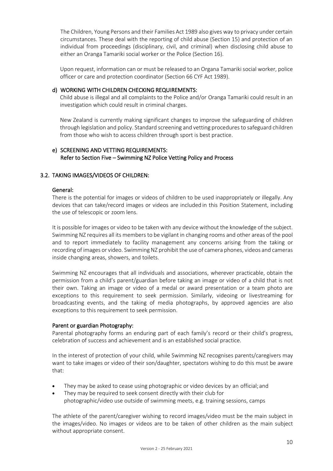The Children, Young Persons and their Families Act 1989 also gives way to privacy under certain circumstances. These deal with the reporting of child abuse (Section 15) and protection of an individual from proceedings (disciplinary, civil, and criminal) when disclosing child abuse to either an Oranga Tamariki social worker or the Police (Section 16).

Upon request, information can or must be released to an Organa Tamariki social worker, police officer or care and protection coordinator (Section 66 CYF Act 1989).

### d) WORKING WITH CHILDREN CHECKING REQUIREMENTS:

Child abuse is illegal and all complaints to the Police and/or Oranga Tamariki could result in an investigation which could result in criminal charges.

New Zealand is currently making significant changes to improve the safeguarding of children through legislation and policy. Standard screening and vetting procedures to safeguard children from those who wish to access children through sport is best practice.

# e) SCREENING AND VETTING REQUIREMENTS: Refer to Section Five – Swimming NZ Police Vetting Policy and Process

# 3.2. TAKING IMAGES/VIDEOS OF CHILDREN:

#### General:

There is the potential for images or videos of children to be used inappropriately or illegally. Any devices that can take/record images or videos are included in this Position Statement, including the use of telescopic or zoom lens.

It is possible for images or video to be taken with any device without the knowledge of the subject. Swimming NZ requires all its members to be vigilant in changing rooms and other areas of the pool and to report immediately to facility management any concerns arising from the taking or recording of images or video. Swimming NZ prohibit the use of camera phones, videos and cameras inside changing areas, showers, and toilets.

Swimming NZ encourages that all individuals and associations, wherever practicable, obtain the permission from a child's parent/guardian before taking an image or video of a child that is not their own. Taking an image or video of a medal or award presentation or a team photo are exceptions to this requirement to seek permission. Similarly, videoing or livestreaming for broadcasting events, and the taking of media photographs, by approved agencies are also exceptions to this requirement to seek permission.

#### Parent or guardian Photography:

Parental photography forms an enduring part of each family's record or their child's progress, celebration of success and achievement and is an established social practice.

In the interest of protection of your child, while Swimming NZ recognises parents/caregivers may want to take images or video of their son/daughter, spectators wishing to do this must be aware that:

- They may be asked to cease using photographic or video devices by an official; and
- They may be required to seek consent directly with their club for photographic/video use outside of swimming meets, e.g. training sessions, camps

The athlete of the parent/caregiver wishing to record images/video must be the main subject in the images/video. No images or videos are to be taken of other children as the main subject without appropriate consent.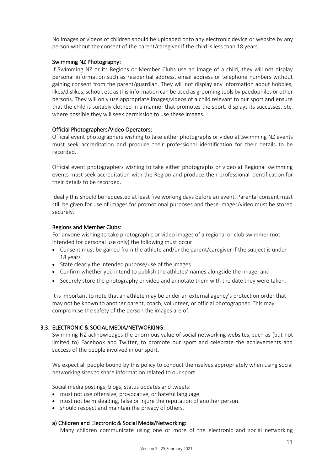No images or videos of children should be uploaded onto any electronic device or website by any person without the consent of the parent/caregiver if the child is less than 18 years.

#### Swimming NZ Photography:

If Swimming NZ or its Regions or Member Clubs use an image of a child, they will not display personal information such as residential address, email address or telephone numbers without gaining consent from the parent/guardian. They will not display any information about hobbies, likes/dislikes, school, etc as this information can be used as grooming tools by paedophiles or other persons. They will only use appropriate images/videos of a child relevant to our sport and ensure that the child is suitably clothed in a manner that promotes the sport, displays its successes, etc. where possible they will seek permission to use these images.

#### Official Photographers/Video Operators:

Official event photographers wishing to take either photographs or video at Swimming NZ events must seek accreditation and produce their professional identification for their details to be recorded.

Official event photographers wishing to take either photographs or video at Regional swimming events must seek accreditation with the Region and produce their professional identification for their details to be recorded.

Ideally this should be requested at least five working days before an event. Parental consent must still be given for use of images for promotional purposes and these images/video must be stored securely.

#### Regions and Member Clubs:

For anyone wishing to take photographic or video images of a regional or club swimmer (not intended for personal use only) the following must occur:

- Consent must be gained from the athlete and/or the parent/caregiver if the subject is under 18 years
- State clearly the intended purpose/use of the images
- Confirm whether you intend to publish the athletes' names alongside the image; and
- Securely store the photography or video and annotate them with the date they were taken.

It is important to note that an athlete may be under an external agency's protection order that may not be known to another parent, coach, volunteer, or official photographer. This may compromise the safety of the person the images are of.

#### 3.3. ELECTRONIC & SOCIAL MEDIA/NETWORKING:

Swimming NZ acknowledges the enormous value of social networking websites, such as (but not limited to) Facebook and Twitter, to promote our sport and celebrate the achievements and success of the people involved in our sport.

We expect all people bound by this policy to conduct themselves appropriately when using social networking sites to share information related to our sport.

Social media postings, blogs, status updates and tweets:

- must not use offensive, provocative, or hateful language.
- must not be misleading, false or injure the reputation of another person.
- should respect and maintain the privacy of others.

#### a) Children and Electronic & Social Media/Networking:

Many children communicate using one or more of the electronic and social networking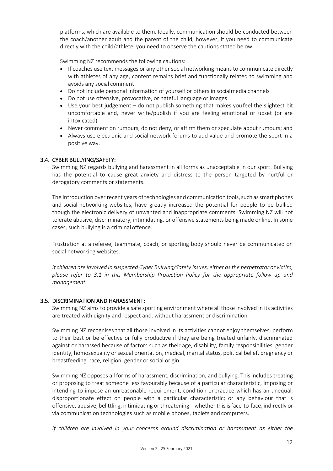platforms, which are available to them. Ideally, communication should be conducted between the coach/another adult and the parent of the child, however, if you need to communicate directly with the child/athlete, you need to observe the cautions stated below.

Swimming NZ recommends the following cautions:

- If coaches use text messages or any other social networking means to communicate directly with athletes of any age, content remains brief and functionally related to swimming and avoids any social comment
- Do not include personal information of yourself or others in socialmedia channels
- Do not use offensive, provocative, or hateful language or images
- Use your best judgement do not publish something that makes youfeel the slightest bit uncomfortable and, never write/publish if you are feeling emotional or upset (or are intoxicated)
- Never comment on rumours, do not deny, or affirm them or speculate about rumours; and
- Always use electronic and social network forums to add value and promote the sport in a positive way.

# 3.4. CYBER BULLYING/SAFETY:

Swimming NZ regards bullying and harassment in all forms as unacceptable in our sport. Bullying has the potential to cause great anxiety and distress to the person targeted by hurtful or derogatory comments or statements.

The introduction over recent years of technologies and communication tools, such as smart phones and social networking websites, have greatly increased the potential for people to be bullied though the electronic delivery of unwanted and inappropriate comments. Swimming NZ will not tolerate abusive, discriminatory, intimidating, or offensive statements being made online. In some cases, such bullying is a criminal offence.

Frustration at a referee, teammate, coach, or sporting body should never be communicated on social networking websites.

*If children are involved in suspected Cyber Bullying/Safety issues, either asthe perpetrator or victim, please refer to 3.1 in this Membership Protection Policy for the appropriate follow up and management.* 

#### 3.5. DISCRIMINATION AND HARASSMENT:

Swimming NZ aims to provide a safe sporting environment where all those involved in its activities are treated with dignity and respect and, without harassment or discrimination.

Swimming NZ recognises that all those involved in its activities cannot enjoy themselves, perform to their best or be effective or fully productive if they are being treated unfairly, discriminated against or harassed because of factors such as their age, disability, family responsibilities, gender identity, homosexuality or sexual orientation, medical, marital status, political belief, pregnancy or breastfeeding, race, religion, gender or social origin.

Swimming NZ opposes all forms of harassment, discrimination, and bullying. This includes treating or proposing to treat someone less favourably because of a particular characteristic, imposing or intending to impose an unreasonable requirement, condition orpractice which has an unequal, disproportionate effect on people with a particular characteristic; or any behaviour that is offensive, abusive, belittling, intimidating or threatening – whether thisisface-to-face, indirectly or via communication technologies such as mobile phones, tablets and computers.

*If children are involved in your concerns around discrimination or harassment as either the*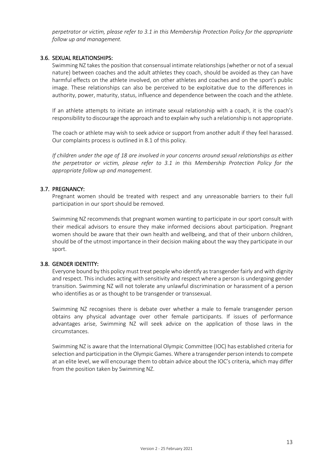*perpetrator or victim, please refer to 3.1 in this Membership Protection Policy for the appropriate follow up and management.* 

# 3.6. SEXUAL RELATIONSHIPS:

Swimming NZ takes the position that consensual intimate relationships (whether or not of a sexual nature) between coaches and the adult athletes they coach, should be avoided as they can have harmful effects on the athlete involved, on other athletes and coaches and on the sport's public image. These relationships can also be perceived to be exploitative due to the differences in authority, power, maturity, status, influence and dependence between the coach and the athlete.

If an athlete attempts to initiate an intimate sexual relationship with a coach, it is the coach's responsibility to discourage the approach and to explainwhy such a relationship is not appropriate.

The coach or athlete may wish to seek advice or support from another adult if they feel harassed. Our complaints process is outlined in 8.1 of this policy.

*If children under the age of 18 are involved in your concerns around sexual relationships as either the perpetrator or victim, please refer to 3.1 in this Membership Protection Policy for the appropriate follow up and management.* 

# 3.7. PREGNANCY:

Pregnant women should be treated with respect and any unreasonable barriers to their full participation in our sport should be removed.

Swimming NZ recommends that pregnant women wanting to participate in our sport consult with their medical advisors to ensure they make informed decisions about participation. Pregnant women should be aware that their own health and wellbeing, and that of their unborn children, should be of the utmost importance in their decision making about the way they participate in our sport.

#### 3.8. GENDER IDENTITY:

Everyone bound by this policy must treat people who identify astransgender fairly and with dignity and respect. This includes acting with sensitivity and respect where a person is undergoing gender transition. Swimming NZ will not tolerate any unlawful discrimination or harassment of a person who identifies as or as thought to be transgender or transsexual.

Swimming NZ recognises there is debate over whether a male to female transgender person obtains any physical advantage over other female participants. If issues of performance advantages arise, Swimming NZ will seek advice on the application of those laws in the circumstances.

Swimming NZ is aware that the International Olympic Committee (IOC) has established criteria for selection and participation in the Olympic Games. Where a transgender person intends to compete at an elite level, we will encourage them to obtain advice about the IOC's criteria, which may differ from the position taken by Swimming NZ.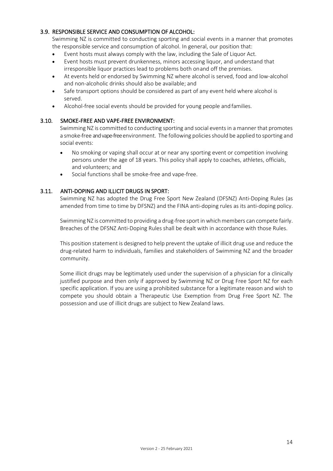# 3.9. RESPONSIBLE SERVICE AND CONSUMPTION OF ALCOHOL:

Swimming NZ is committed to conducting sporting and social events in a manner that promotes the responsible service and consumption of alcohol. In general, our position that:

- Event hosts must always comply with the law, including the Sale of Liquor Act.
- Event hosts must prevent drunkenness, minors accessing liquor, and understand that irresponsible liquor practices lead to problems both onand off the premises.
- At events held or endorsed by Swimming NZ where alcohol is served, food and low-alcohol and non-alcoholic drinks should also be available; and
- Safe transport options should be considered as part of any event held where alcohol is served.
- Alcohol-free social events should be provided for young people andfamilies.

# 3.10. SMOKE-FREE AND VAPE-FREE ENVIRONMENT:

Swimming NZ is committed to conducting sporting and social events in a manner that promotes a smoke-free and vape-free environment. The following policiesshould be applied to sporting and social events:

- No smoking or vaping shall occur at or near any sporting event or competition involving persons under the age of 18 years. This policy shall apply to coaches, athletes, officials, and volunteers; and
- Social functions shall be smoke-free and vape-free.

# 3.11. ANTI-DOPING AND ILLICIT DRUGS IN SPORT:

Swimming NZ has adopted the Drug Free Sport New Zealand (DFSNZ) Anti-Doping Rules (as amended from time to time by DFSNZ) and the FINA anti-doping rules as its anti-doping policy.

Swimming NZ is committed to providing a drug-free sport in which members can compete fairly. Breaches of the DFSNZ Anti-Doping Rules shall be dealt with in accordance with those Rules.

This position statement is designed to help prevent the uptake of illicit drug use and reduce the drug-related harm to individuals, families and stakeholders of Swimming NZ and the broader community.

Some illicit drugs may be legitimately used under the supervision of a physician for a clinically justified purpose and then only if approved by Swimming NZ or Drug Free Sport NZ for each specific application. If you are using a prohibited substance for a legitimate reason and wish to compete you should obtain a Therapeutic Use Exemption from Drug Free Sport NZ. The possession and use of illicit drugs are subject to New Zealand laws.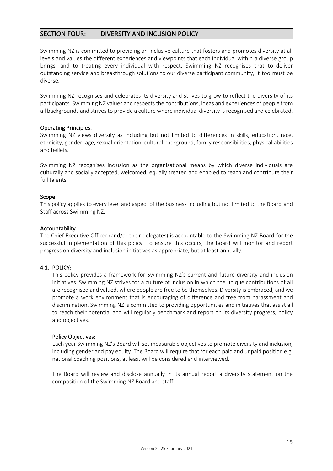# SECTION FOUR: DIVERSITY AND INCUSION POLICY

Swimming NZ is committed to providing an inclusive culture that fosters and promotes diversity at all levels and values the different experiences and viewpoints that each individual within a diverse group brings, and to treating every individual with respect. Swimming NZ recognises that to deliver outstanding service and breakthrough solutions to our diverse participant community, it too must be diverse.

Swimming NZ recognises and celebrates its diversity and strives to grow to reflect the diversity of its participants. Swimming NZ values and respects the contributions, ideas and experiences of people from all backgrounds and strives to provide a culture where individual diversity is recognised and celebrated.

# Operating Principles:

Swimming NZ views diversity as including but not limited to differences in skills, education, race, ethnicity, gender, age, sexual orientation, cultural background, family responsibilities, physical abilities and beliefs.

Swimming NZ recognises inclusion as the organisational means by which diverse individuals are culturally and socially accepted, welcomed, equally treated and enabled to reach and contribute their full talents.

# Scope:

This policy applies to every level and aspect of the business including but not limited to the Board and Staff across Swimming NZ.

#### Accountability

The Chief Executive Officer (and/or their delegates) is accountable to the Swimming NZ Board for the successful implementation of this policy. To ensure this occurs, the Board will monitor and report progress on diversity and inclusion initiatives as appropriate, but at least annually.

# 4.1. POLICY:

This policy provides a framework for Swimming NZ's current and future diversity and inclusion initiatives. Swimming NZ strives for a culture of inclusion in which the unique contributions of all are recognised and valued, where people are free to be themselves. Diversity is embraced, and we promote a work environment that is encouraging of difference and free from harassment and discrimination. Swimming NZ is committed to providing opportunities and initiatives that assist all to reach their potential and will regularly benchmark and report on its diversity progress, policy and objectives.

#### Policy Objectives:

Each year Swimming NZ's Board will set measurable objectives to promote diversity and inclusion, including gender and pay equity. The Board will require that for each paid and unpaid position e.g. national coaching positions, at least will be considered and interviewed.

The Board will review and disclose annually in its annual report a diversity statement on the composition of the Swimming NZ Board and staff.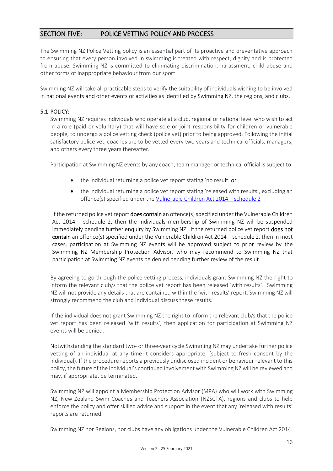# SECTION FIVE: POLICE VETTING POLICY AND PROCESS

The Swimming NZ Police Vetting policy is an essential part of its proactive and preventative approach to ensuring that every person involved in swimming is treated with respect, dignity and is protected from abuse. Swimming NZ is committed to eliminating discrimination, harassment, child abuse and other forms of inappropriate behaviour from our sport.

Swimming NZ will take all practicable steps to verify the suitability of individuals wishing to be involved in national events and other events or activities as identified by Swimming NZ, the regions, and clubs.

# 5.1 POLICY:

Swimming NZ requires individuals who operate at a club, regional or national level who wish to act in a role (paid or voluntary) that will have sole or joint responsibility for children or vulnerable people, to undergo a police vetting check (police vet) prior to being approved. Following the initial satisfactory police vet, coaches are to be vetted every two years and technical officials, managers, and others every three years thereafter.

Participation at Swimming NZ events by any coach, team manager or technical official is subject to:

- the individual returning a police vet report stating 'no result' or
- the individual returning a police vet report stating 'released with results', excluding an offence(s) specified under the [Vulnerable Children Act 2014](http://www.legislation.govt.nz/act/public/2014/0040/latest/whole.html) – schedule 2

If the returned police vet report **does contain** an offence(s) specified under the Vulnerable Children Act 2014 – [schedule 2,](http://www.legislation.govt.nz/act/public/2014/0040/latest/whole.html) then the individuals membership of Swimming NZ will be suspended immediately pending further enquiry by Swimming NZ. If the returned police vet report does not contain an offence(s) specified under the [Vulnerable Children Act 2014](http://www.legislation.govt.nz/act/public/2014/0040/latest/whole.html) – schedule 2, then in most cases, participation at Swimming NZ events will be approved subject to prior review by the Swimming NZ Membership Protection Advisor, who may recommend to Swimming NZ that participation at Swimming NZ events be denied pending further review of the result.

By agreeing to go through the police vetting process, individuals grant Swimming NZ the right to inform the relevant club/s that the police vet report has been released 'with results'. Swimming NZ will not provide any details that are contained within the 'with results' report. Swimming NZ will strongly recommend the club and individual discuss these results.

If the individual does not grant Swimming NZ the right to inform the relevant club/s that the police vet report has been released 'with results', then application for participation at Swimming NZ events will be denied.

Notwithstanding the standard two- or three-year cycle Swimming NZ may undertake further police vetting of an individual at any time it considers appropriate, (subject to fresh consent by the individual). If the procedure reports a previously undisclosed incident or behaviour relevant to this policy, the future of the individual's continued involvement with Swimming NZ will be reviewed and may, if appropriate, be terminated.

Swimming NZ will appoint a Membership Protection Advisor (MPA) who will work with Swimming NZ, New Zealand Swim Coaches and Teachers Association (NZSCTA), regions and clubs to help enforce the policy and offer skilled advice and support in the event that any 'released with results' reports are returned.

Swimming NZ nor Regions, nor clubs have any obligations under the Vulnerable Children Act 2014.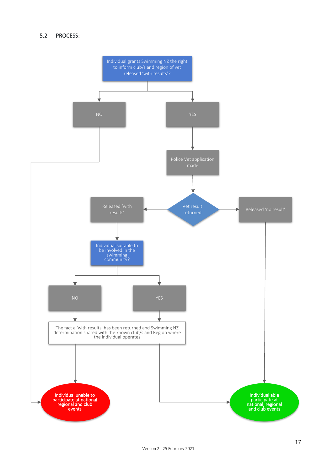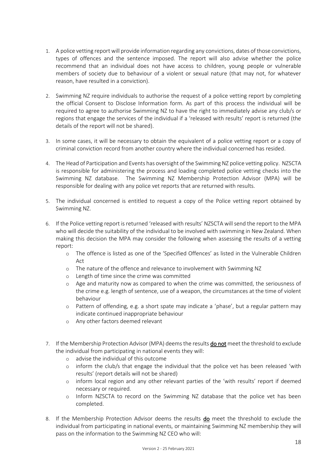- 1. A police vetting report will provide information regarding any convictions, dates of those convictions, types of offences and the sentence imposed. The report will also advise whether the police recommend that an individual does not have access to children, young people or vulnerable members of society due to behaviour of a violent or sexual nature (that may not, for whatever reason, have resulted in a conviction).
- 2. Swimming NZ require individuals to authorise the request of a police vetting report by completing the official Consent to Disclose Information form. As part of this process the individual will be required to agree to authorise Swimming NZ to have the right to immediately advise any club/s or regions that engage the services of the individual if a 'released with results' report is returned (the details of the report will not be shared).
- 3. In some cases, it will be necessary to obtain the equivalent of a police vetting report or a copy of criminal conviction record from another country where the individual concerned has resided.
- 4. The Head of Participation and Events has oversight of the Swimming NZ police vetting policy. NZSCTA is responsible for administering the process and loading completed police vetting checks into the Swimming NZ database. The Swimming NZ Membership Protection Advisor (MPA) will be responsible for dealing with any police vet reports that are returned with results.
- 5. The individual concerned is entitled to request a copy of the Police vetting report obtained by Swimming NZ.
- 6. If the Police vetting report is returned 'released with results' NZSCTA will send the report to the MPA who will decide the suitability of the individual to be involved with swimming in New Zealand. When making this decision the MPA may consider the following when assessing the results of a vetting report:
	- o The offence is listed as one of the 'Specified Offences' as listed in the Vulnerable Children Act
	- o The nature of the offence and relevance to involvement with Swimming NZ
	- o Length of time since the crime was committed
	- o Age and maturity now as compared to when the crime was committed, the seriousness of the crime e.g. length of sentence, use of a weapon, the circumstances at the time of violent behaviour
	- o Pattern of offending, e.g. a short spate may indicate a 'phase', but a regular pattern may indicate continued inappropriate behaviour
	- o Any other factors deemed relevant
- 7. If the Membership Protection Advisor (MPA) deems the results **do not** meet the threshold to exclude the individual from participating in national events they will:
	- o advise the individual of this outcome
	- o inform the club/s that engage the individual that the police vet has been released 'with results' (report details will not be shared)
	- o inform local region and any other relevant parties of the 'with results' report if deemed necessary or required.
	- o Inform NZSCTA to record on the Swimming NZ database that the police vet has been completed.
- 8. If the Membership Protection Advisor deems the results do meet the threshold to exclude the individual from participating in national events, or maintaining Swimming NZ membership they will pass on the information to the Swimming NZ CEO who will: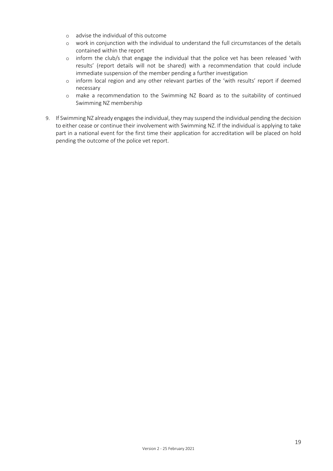- o advise the individual of this outcome
- o work in conjunction with the individual to understand the full circumstances of the details contained within the report
- o inform the club/s that engage the individual that the police vet has been released 'with results' (report details will not be shared) with a recommendation that could include immediate suspension of the member pending a further investigation
- o inform local region and any other relevant parties of the 'with results' report if deemed necessary
- o make a recommendation to the Swimming NZ Board as to the suitability of continued Swimming NZ membership
- 9. If Swimming NZ already engages the individual, they may suspend the individual pending the decision to either cease or continue their involvement with Swimming NZ. If the individual is applying to take part in a national event for the first time their application for accreditation will be placed on hold pending the outcome of the police vet report.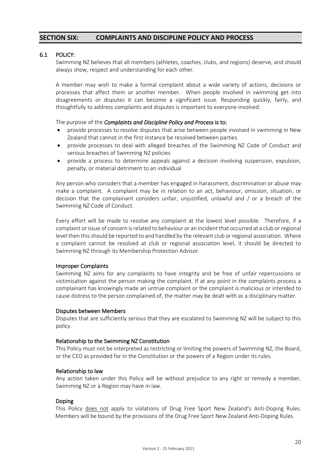# **SECTION SIX: COMPLAINTS AND DISCIPLINE POLICY AND PROCESS**

### 6.1 POLICY:

Swimming NZ believes that all members (athletes, coaches, clubs, and regions) deserve, and should always show, respect and understanding for each other.

A member may wish to make a formal complaint about a wide variety of actions, decisions or processes that affect them or another member. When people involved in swimming get into disagreements or disputes it can become a significant issue. Responding quickly, fairly, and thoughtfully to address complaints and disputes is important to everyone involved.

#### The purpose of the *Complaints and Discipline Policy and Process* is to:

- provide processes to resolve disputes that arise between people involved in swimming in New Zealand that cannot in the first instance be resolved between parties
- provide processes to deal with alleged breaches of the Swimming NZ Code of Conduct and serious breaches of Swimming NZ policies
- provide a process to determine appeals against a decision involving suspension, expulsion, penalty, or material detriment to an individual

Any person who considers that a member has engaged in harassment, discrimination or abuse may make a complaint. A complaint may be in relation to an act, behaviour, omission, situation, or decision that the complainant considers unfair, unjustified, unlawful and / or a breach of the Swimming NZ Code of Conduct.

Every effort will be made to resolve any complaint at the lowest level possible. Therefore, if a complaint or issue of concern is related to behaviour or an incident that occurred at a club or regional level then this should be reported to and handled by the relevant club or regional association. Where a complaint cannot be resolved at club or regional association level, it should be directed to Swimming NZ through its Membership Protection Advisor.

#### Improper Complaints

Swimming NZ aims for any complaints to have integrity and be free of unfair repercussions or victimisation against the person making the complaint. If at any point in the complaints process a complainant has knowingly made an untrue complaint or the complaint is malicious or intended to cause distress to the person complained of, the matter may be dealt with as a disciplinary matter.

#### Disputes between Members

Disputes that are sufficiently serious that they are escalated to Swimming NZ will be subject to this policy.

#### Relationship to the Swimming NZ Constitution

This Policy must not be interpreted as restricting or limiting the powers of Swimming NZ, the Board, or the CEO as provided for in the Constitution or the powers of a Region under its rules.

#### Relationship to law

Any action taken under this Policy will be without prejudice to any right or remedy a member, Swimming NZ or a Region may have in law.

#### Doping

This Policy does not apply to violations of Drug Free Sport New Zealand's Anti-Doping Rules. Members will be bound by the provisions of the Drug Free Sport New Zealand Anti-Doping Rules.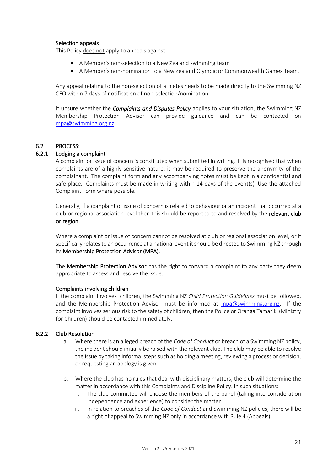# Selection appeals

This Policy does not apply to appeals against:

- A Member's non-selection to a New Zealand swimming team
- A Member's non-nomination to a New Zealand Olympic or Commonwealth Games Team.

Any appeal relating to the non-selection of athletes needs to be made directly to the Swimming NZ CEO within 7 days of notification of non-selection/nomination

If unsure whether the *Complaints and Disputes Policy* applies to your situation, the Swimming NZ Membership Protection Advisor can provide guidance and can be contacted on [mpa@swimming.org.nz](mailto:mpa@swimming.org.nz)

# 6.2 PROCESS:

# 6.2.1 Lodging a complaint

A complaint or issue of concern is constituted when submitted in writing. It is recognised that when complaints are of a highly sensitive nature, it may be required to preserve the anonymity of the complainant. The complaint form and any accompanying notes must be kept in a confidential and safe place. Complaints must be made in writing within 14 days of the event(s). Use the attached Complaint Form where possible.

Generally, if a complaint or issue of concern is related to behaviour or an incident that occurred at a club or regional association level then this should be reported to and resolved by the relevant club or region.

Where a complaint or issue of concern cannot be resolved at club or regional association level, or it specifically relates to an occurrence at a national event it should be directed to Swimming NZ through its Membership Protection Advisor (MPA).

The **Membership Protection Advisor** has the right to forward a complaint to any party they deem appropriate to assess and resolve the issue.

#### Complaints involving children

If the complaint involves children, the Swimming NZ *Child Protection Guidelines* must be followed, and the Membership Protection Advisor must be informed at [mpa@swimming.org.nz.](mailto:mpa@swimming.org.nz) If the complaint involves serious risk to the safety of children, then the Police or Oranga Tamariki (Ministry for Children) should be contacted immediately.

#### 6.2.2 Club Resolution

- a. Where there is an alleged breach of the *Code of Conduct* or breach of a Swimming NZ policy, the incident should initially be raised with the relevant club. The club may be able to resolve the issue by taking informal steps such as holding a meeting, reviewing a process or decision, or requesting an apology is given.
- b. Where the club has no rules that deal with disciplinary matters, the club will determine the matter in accordance with this Complaints and Discipline Policy. In such situations:
	- i. The club committee will choose the members of the panel (taking into consideration independence and experience) to consider the matter
	- ii. In relation to breaches of the *Code of Conduct* and Swimming NZ policies, there will be a right of appeal to Swimming NZ only in accordance with Rule 4 (Appeals).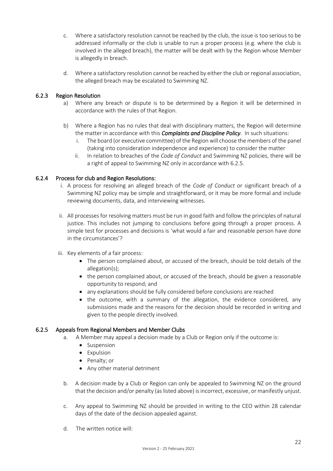- c. Where a satisfactory resolution cannot be reached by the club, the issue is too serious to be addressed informally or the club is unable to run a proper process (e.g. where the club is involved in the alleged breach), the matter will be dealt with by the Region whose Member is allegedly in breach.
- d. Where a satisfactory resolution cannot be reached by either the club or regional association, the alleged breach may be escalated to Swimming NZ.

# 6.2.3 Region Resolution

- a) Where any breach or dispute is to be determined by a Region it will be determined in accordance with the rules of that Region.
- b) Where a Region has no rules that deal with disciplinary matters, the Region will determine the matter in accordance with this *Complaints and Discipline Policy*. In such situations:
	- i. The board (or executive committee) of the Region will choose the members of the panel (taking into consideration independence and experience) to consider the matter
	- ii. In relation to breaches of the *Code of Conduct* and Swimming NZ policies, there will be a right of appeal to Swimming NZ only in accordance with 6.2.5.

#### 6.2.4 Process for club and Region Resolutions:

- i. A process for resolving an alleged breach of the *Code of Conduct* or significant breach of a Swimming NZ policy may be simple and straightforward, or it may be more formal and include reviewing documents, data, and interviewing witnesses.
- ii. All processes for resolving matters must be run in good faith and follow the principles of natural justice. This includes not jumping to conclusions before going through a proper process. A simple test for processes and decisions is 'what would a fair and reasonable person have done in the circumstances'?
- iii. Key elements of a fair process:
	- The person complained about, or accused of the breach, should be told details of the allegation(s);
	- the person complained about, or accused of the breach, should be given a reasonable opportunity to respond; and
	- any explanations should be fully considered before conclusions are reached
	- the outcome, with a summary of the allegation, the evidence considered, any submissions made and the reasons for the decision should be recorded in writing and given to the people directly involved.

#### 6.2.5 Appeals from Regional Members and Member Clubs

- a. A Member may appeal a decision made by a Club or Region only if the outcome is:
	- Suspension
	- Expulsion
	- Penalty; or
	- Any other material detriment
- b. A decision made by a Club or Region can only be appealed to Swimming NZ on the ground that the decision and/or penalty (as listed above) is incorrect, excessive, or manifestly unjust.
- c. Any appeal to Swimming NZ should be provided in writing to the CEO within 28 calendar days of the date of the decision appealed against.
- d. The written notice will: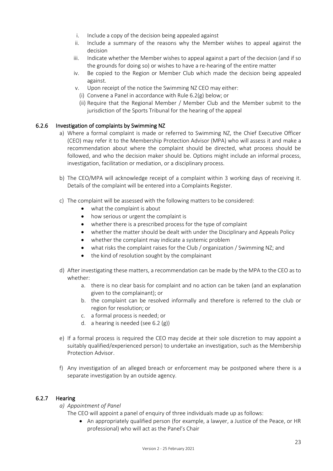- i. Include a copy of the decision being appealed against
- ii. Include a summary of the reasons why the Member wishes to appeal against the decision
- iii. Indicate whether the Member wishes to appeal against a part of the decision (and if so the grounds for doing so) or wishes to have a re-hearing of the entire matter
- iv. Be copied to the Region or Member Club which made the decision being appealed against.
- v. Upon receipt of the notice the Swimming NZ CEO may either:
	- (i) Convene a Panel in accordance with Rule 6.2(g) below; or
	- (ii) Require that the Regional Member / Member Club and the Member submit to the jurisdiction of the Sports Tribunal for the hearing of the appeal

# 6.2.6 Investigation of complaints by Swimming NZ

- a) Where a formal complaint is made or referred to Swimming NZ, the Chief Executive Officer (CEO) may refer it to the Membership Protection Advisor (MPA) who will assess it and make a recommendation about where the complaint should be directed, what process should be followed, and who the decision maker should be. Options might include an informal process, investigation, facilitation or mediation, or a disciplinary process.
- b) The CEO/MPA will acknowledge receipt of a complaint within 3 working days of receiving it. Details of the complaint will be entered into a Complaints Register.
- c) The complaint will be assessed with the following matters to be considered:
	- what the complaint is about
	- how serious or urgent the complaint is
	- whether there is a prescribed process for the type of complaint
	- whether the matter should be dealt with under the Disciplinary and Appeals Policy
	- whether the complaint may indicate a systemic problem
	- what risks the complaint raises for the Club / organization / Swimming NZ; and
	- the kind of resolution sought by the complainant
- d) After investigating these matters, a recommendation can be made by the MPA to the CEO as to whether:
	- a. there is no clear basis for complaint and no action can be taken (and an explanation given to the complainant); or
	- b. the complaint can be resolved informally and therefore is referred to the club or region for resolution; or
	- c. a formal process is needed; or
	- d. a hearing is needed (see 6.2 (g))
- e) If a formal process is required the CEO may decide at their sole discretion to may appoint a suitably qualified/experienced person) to undertake an investigation, such as the Membership Protection Advisor.
- f) Any investigation of an alleged breach or enforcement may be postponed where there is a separate investigation by an outside agency.

#### 6.2.7 Hearing

*a) Appointment of Panel*

The CEO will appoint a panel of enquiry of three individuals made up as follows:

• An appropriately qualified person (for example, a lawyer, a Justice of the Peace, or HR professional) who will act as the Panel's Chair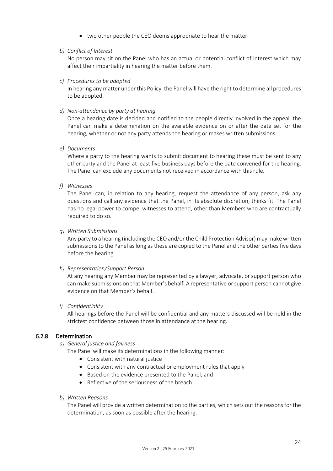- two other people the CEO deems appropriate to hear the matter
- *b) Conflict of Interest*

No person may sit on the Panel who has an actual or potential conflict of interest which may affect their impartiality in hearing the matter before them.

*c) Procedures to be adopted*

In hearing any matter under this Policy, the Panel will have the right to determine all procedures to be adopted.

*d) Non-attendance by party at hearing*

Once a hearing date is decided and notified to the people directly involved in the appeal, the Panel can make a determination on the available evidence on or after the date set for the hearing, whether or not any party attends the hearing or makes written submissions.

*e) Documents*

Where a party to the hearing wants to submit document to hearing these must be sent to any other party and the Panel at least five business days before the date convened for the hearing. The Panel can exclude any documents not received in accordance with this rule.

*f) Witnesses*

The Panel can, in relation to any hearing, request the attendance of any person, ask any questions and call any evidence that the Panel, in its absolute discretion, thinks fit. The Panel has no legal power to compel witnesses to attend, other than Members who are contractually required to do so.

#### *g) Written Submissions*

Any party to a hearing (including the CEO and/or the Child Protection Advisor) may make written submissions to the Panel as long as these are copied to the Panel and the other parties five days before the hearing.

#### *h) Representation/Support Person*

At any hearing any Member may be represented by a lawyer, advocate, or support person who can make submissions on that Member's behalf. A representative or support person cannot give evidence on that Member's behalf.

#### *i) Confidentiality*

All hearings before the Panel will be confidential and any matters discussed will be held in the strictest confidence between those in attendance at the hearing.

# 6.2.8 Determination

*a) General justice and fairness*

The Panel will make its determinations in the following manner:

- Consistent with natural justice
- Consistent with any contractual or employment rules that apply
- Based on the evidence presented to the Panel; and
- Reflective of the seriousness of the breach
- *b) Written Reasons*

The Panel will provide a written determination to the parties, which sets out the reasons for the determination, as soon as possible after the hearing.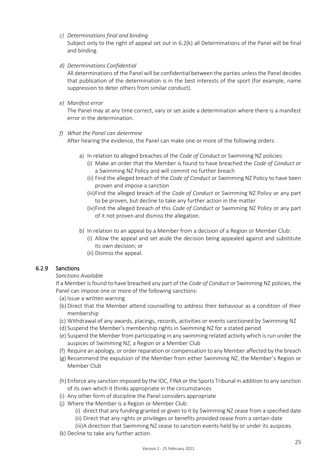# *c) Determinations final and binding*

Subject only to the right of appeal set out in 6.2(k) all Determinations of the Panel will be final and binding.

# *d) Determinations Confidential*

All determinations of the Panel will be confidential between the parties unless the Panel decides that publication of the determination is in the best interests of the sport (for example, name suppression to deter others from similar conduct).

# *e) Manifest error*

The Panel may at any time correct, vary or set aside a determination where there is a manifest error in the determination.

# *f) What the Panel can determine*

After hearing the evidence, the Panel can make one or more of the following orders:

- a) In relation to alleged breaches of the *Code of Conduct* or Swimming NZ policies:
	- (i) Make an order that the Member is found to have breached the *Code of Conduct* or a Swimming NZ Policy and will commit no further breach
	- (ii) Find the alleged breach of the *Code of Conduct* or Swimming NZ Policy to have been proven and impose a sanction
	- (iii)Find the alleged breach of the *Code of Conduct* or Swimming NZ Policy or any part to be proven, but decline to take any further action in the matter
	- (iv)Find the alleged breach of this *Code of Conduct* or Swimming NZ Policy or any part of it not proven and dismiss the allegation.
- b) In relation to an appeal by a Member from a decision of a Region or Member Club:
	- (i) Allow the appeal and set aside the decision being appealed against and substitute its own decision; or
	- (ii) Dismiss the appeal.

# 6.2.9 Sanctions

# *Sanctions Available*

If a Member is found to have breached any part of the *Code of Conduct* or Swimming NZ policies, the Panel can impose one or more of the following sanctions:

- (a) Issue a written warning
- (b) Direct that the Member attend counselling to address their behaviour as a condition of their membership
- (c) Withdrawal of any awards, placings, records, activities or events sanctioned by Swimming NZ
- (d) Suspend the Member's membership rights in Swimming NZ for a stated period
- (e) Suspend the Member from participating in any swimming related activity which is run under the auspices of Swimming NZ, a Region or a Member Club
- (f) Require an apology, or order reparation or compensation to any Member affected by the breach
- (g) Recommend the expulsion of the Member from either Swimming NZ, the Member's Region or Member Club
- (h) Enforce any sanction imposed by the IOC, FINA or the Sports Tribunal in addition to any sanction of its own which it thinks appropriate in the circumstances
- (i) Any other form of discipline the Panel considers appropriate
- (j) Where the Member is a Region or Member Club:
	- (i) direct that any funding granted or given to it by Swimming NZ cease from a specified date
	- (ii) Direct that any rights or privileges or benefits provided cease from a certain date
	- (iii)A direction that Swimming NZ cease to sanction events held by or under its auspices.
- (k) Decline to take any further action.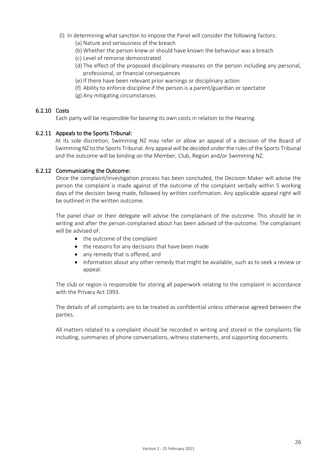- (l) In determining what sanction to impose the Panel will consider the following factors:
	- (a) Nature and seriousness of the breach
	- (b) Whether the person knew or should have known the behaviour was a breach
	- (c) Level of remorse demonstrated
	- (d) The effect of the proposed disciplinary measures on the person including any personal, professional, or financial consequences
	- (e) If there have been relevant prior warnings or disciplinary action
	- (f) Ability to enforce discipline if the person is a parent/guardian or spectator
	- (g) Any mitigating circumstances

# 6.2.10 Costs

Each party will be responsible for bearing its own costs in relation to the Hearing.

# 6.2.11 Appeals to the Sports Tribunal:

At its sole discretion, Swimming NZ may refer or allow an appeal of a decision of the Board of Swimming NZ to the Sports Tribunal. Any appeal will be decided under the rules of the Sports Tribunal and the outcome will be binding on the Member, Club, Region and/or Swimming NZ.

# 6.2.12 Communicating the Outcome:

Once the complaint/investigation process has been concluded, the Decision Maker will advise the person the complaint is made against of the outcome of the complaint verbally within 5 working days of the decision being made, followed by written confirmation. Any applicable appeal right will be outlined in the written outcome.

The panel chair or their delegate will advise the complainant of the outcome. This should be in writing and after the person complained about has been advised of the outcome. The complainant will be advised of:

- the outcome of the complaint
- the reasons for any decisions that have been made
- any remedy that is offered, and
- information about any other remedy that might be available, such as to seek a review or appeal.

The club or region is responsible for storing all paperwork relating to the complaint in accordance with the Privacy Act 1993.

The details of all complaints are to be treated as confidential unless otherwise agreed between the parties.

All matters related to a complaint should be recorded in writing and stored in the complaints file including, summaries of phone conversations, witness statements, and supporting documents.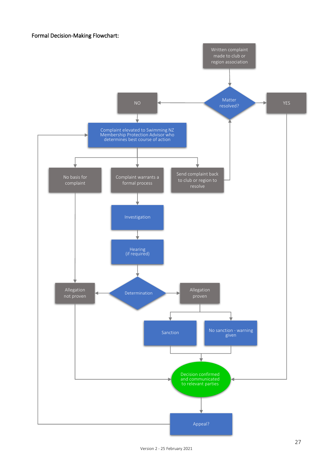# Formal Decision-Making Flowchart: